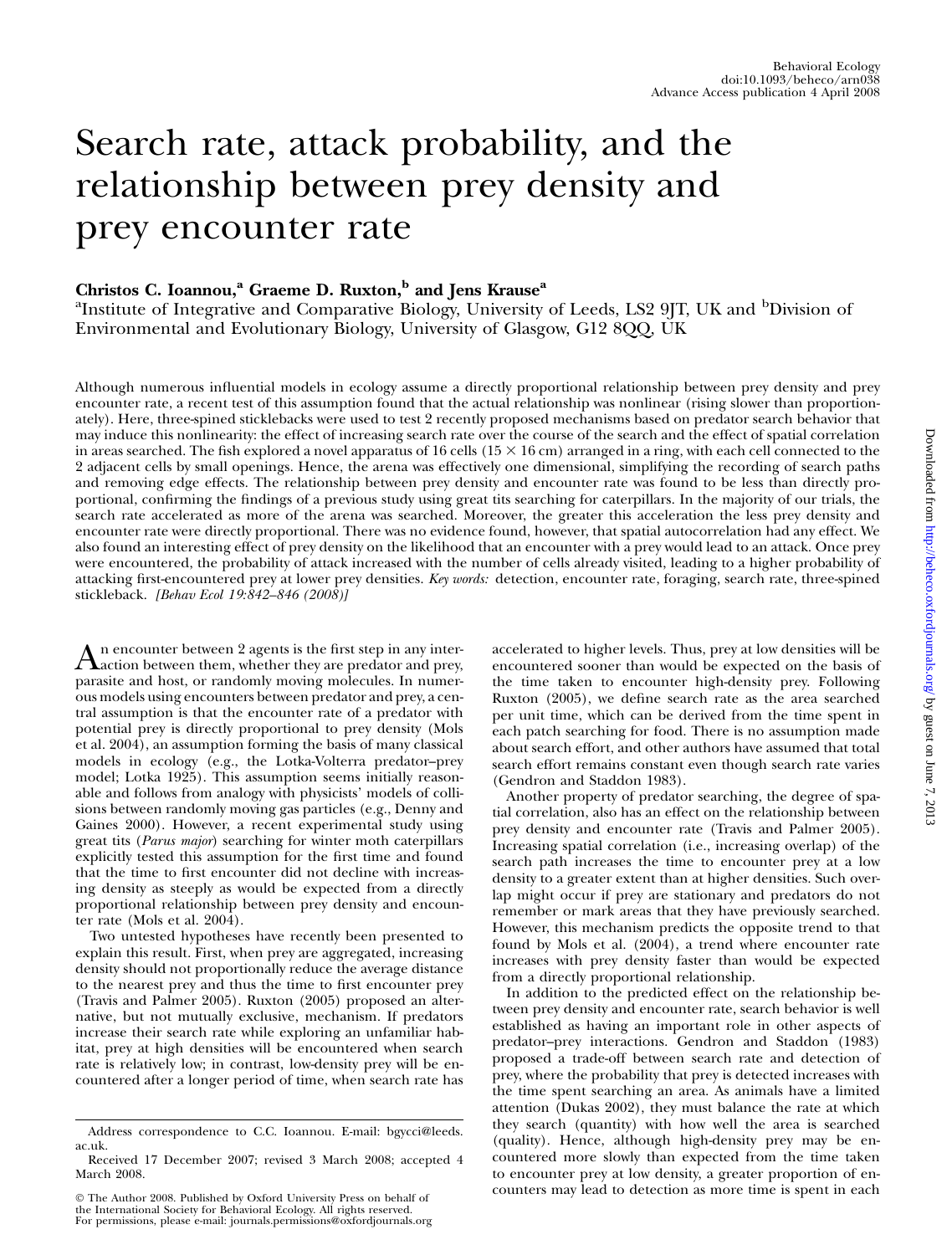# Search rate, attack probability, and the relationship between prey density and prey encounter rate

# Christos C. Ioannou,<sup>a</sup> Graeme D. Ruxton,<sup>b</sup> and Jens Krause<sup>a</sup>

<sup>a</sup>Institute of Integrative and Comparative Biology, University of Leeds, LS2 9JT, UK and <sup>b</sup>Division of Environmental and Evolutionary Biology, University of Glasgow, G12 8QQ, UK

Although numerous influential models in ecology assume a directly proportional relationship between prey density and prey encounter rate, a recent test of this assumption found that the actual relationship was nonlinear (rising slower than proportionately). Here, three-spined sticklebacks were used to test 2 recently proposed mechanisms based on predator search behavior that may induce this nonlinearity: the effect of increasing search rate over the course of the search and the effect of spatial correlation in areas searched. The fish explored a novel apparatus of 16 cells  $(15 \times 16 \text{ cm})$  arranged in a ring, with each cell connected to the 2 adjacent cells by small openings. Hence, the arena was effectively one dimensional, simplifying the recording of search paths and removing edge effects. The relationship between prey density and encounter rate was found to be less than directly proportional, confirming the findings of a previous study using great tits searching for caterpillars. In the majority of our trials, the search rate accelerated as more of the arena was searched. Moreover, the greater this acceleration the less prey density and encounter rate were directly proportional. There was no evidence found, however, that spatial autocorrelation had any effect. We also found an interesting effect of prey density on the likelihood that an encounter with a prey would lead to an attack. Once prey were encountered, the probability of attack increased with the number of cells already visited, leading to a higher probability of attacking first-encountered prey at lower prey densities. Key words: detection, encounter rate, foraging, search rate, three-spined stickleback. [Behav Ecol 19:842-846 (2008)]

An encounter between 2 agents is the first step in any inter-<br>action between them, whether they are predator and prey, parasite and host, or randomly moving molecules. In numerous models using encounters between predator and prey, a central assumption is that the encounter rate of a predator with potential prey is directly proportional to prey density (Mols et al. 2004), an assumption forming the basis of many classical models in ecology (e.g., the Lotka-Volterra predator–prey model; Lotka 1925). This assumption seems initially reasonable and follows from analogy with physicists' models of collisions between randomly moving gas particles (e.g., Denny and Gaines 2000). However, a recent experimental study using great tits (Parus major) searching for winter moth caterpillars explicitly tested this assumption for the first time and found that the time to first encounter did not decline with increasing density as steeply as would be expected from a directly proportional relationship between prey density and encounter rate (Mols et al. 2004).

Two untested hypotheses have recently been presented to explain this result. First, when prey are aggregated, increasing density should not proportionally reduce the average distance to the nearest prey and thus the time to first encounter prey (Travis and Palmer 2005). Ruxton (2005) proposed an alternative, but not mutually exclusive, mechanism. If predators increase their search rate while exploring an unfamiliar habitat, prey at high densities will be encountered when search rate is relatively low; in contrast, low-density prey will be encountered after a longer period of time, when search rate has

 The Author 2008. Published by Oxford University Press on behalf of the International Society for Behavioral Ecology. All rights reserved. For permissions, please e-mail: journals.permissions@oxfordjournals.org accelerated to higher levels. Thus, prey at low densities will be encountered sooner than would be expected on the basis of the time taken to encounter high-density prey. Following Ruxton (2005), we define search rate as the area searched per unit time, which can be derived from the time spent in each patch searching for food. There is no assumption made about search effort, and other authors have assumed that total search effort remains constant even though search rate varies (Gendron and Staddon 1983).

Another property of predator searching, the degree of spatial correlation, also has an effect on the relationship between prey density and encounter rate (Travis and Palmer 2005). Increasing spatial correlation (i.e., increasing overlap) of the search path increases the time to encounter prey at a low density to a greater extent than at higher densities. Such overlap might occur if prey are stationary and predators do not remember or mark areas that they have previously searched. However, this mechanism predicts the opposite trend to that found by Mols et al. (2004), a trend where encounter rate increases with prey density faster than would be expected from a directly proportional relationship.

In addition to the predicted effect on the relationship between prey density and encounter rate, search behavior is well established as having an important role in other aspects of predator–prey interactions. Gendron and Staddon (1983) proposed a trade-off between search rate and detection of prey, where the probability that prey is detected increases with the time spent searching an area. As animals have a limited attention (Dukas 2002), they must balance the rate at which they search (quantity) with how well the area is searched (quality). Hence, although high-density prey may be encountered more slowly than expected from the time taken to encounter prey at low density, a greater proportion of encounters may lead to detection as more time is spent in each

Address correspondence to C.C. Ioannou. E-mail: bgycci@leeds. ac.uk.

Received 17 December 2007; revised 3 March 2008; accepted 4 March 2008.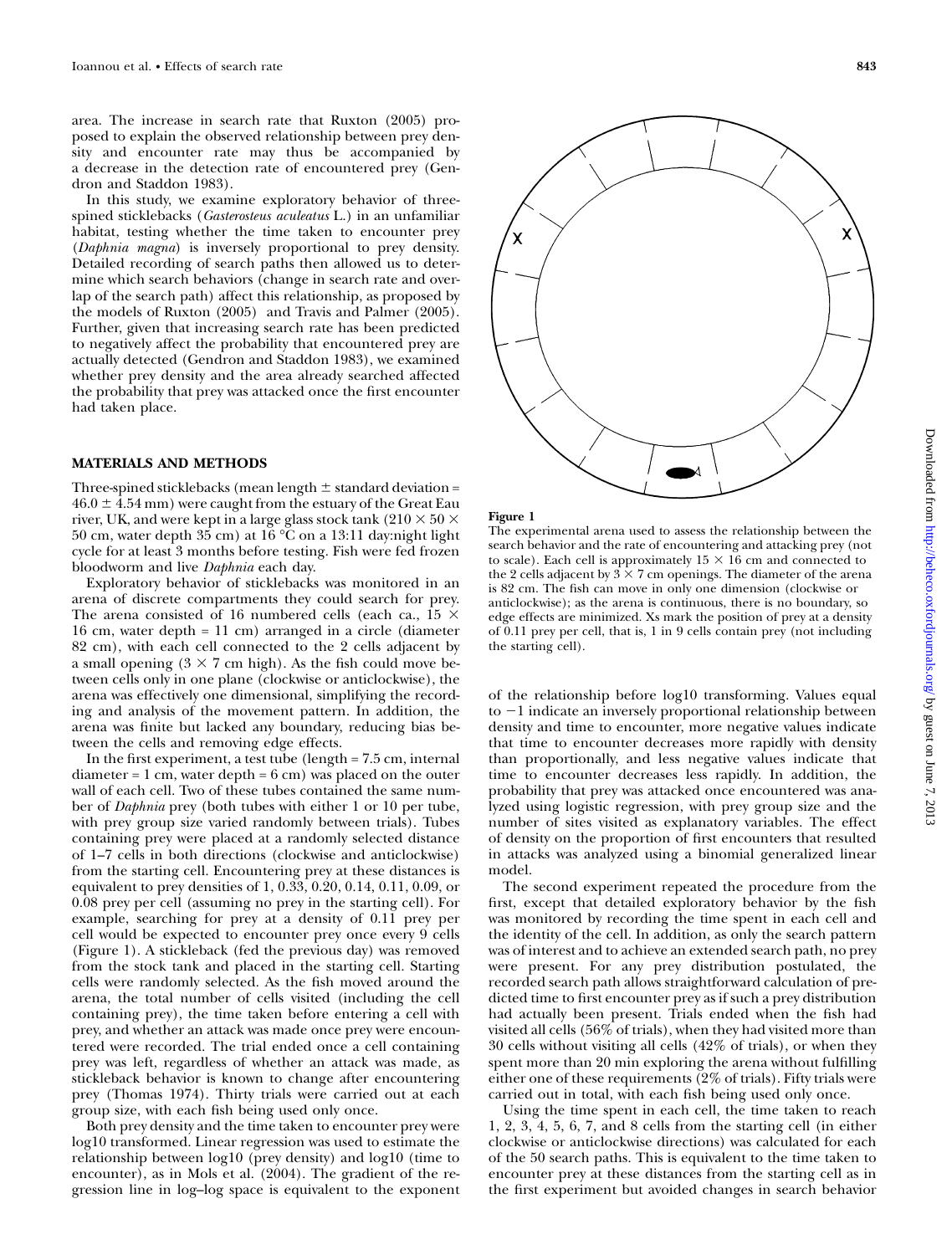area. The increase in search rate that Ruxton (2005) proposed to explain the observed relationship between prey density and encounter rate may thus be accompanied by a decrease in the detection rate of encountered prey (Gendron and Staddon 1983).

In this study, we examine exploratory behavior of threespined sticklebacks (Gasterosteus aculeatus L.) in an unfamiliar habitat, testing whether the time taken to encounter prey (Daphnia magna) is inversely proportional to prey density. Detailed recording of search paths then allowed us to determine which search behaviors (change in search rate and overlap of the search path) affect this relationship, as proposed by the models of Ruxton (2005) and Travis and Palmer (2005). Further, given that increasing search rate has been predicted to negatively affect the probability that encountered prey are actually detected (Gendron and Staddon 1983), we examined whether prey density and the area already searched affected the probability that prey was attacked once the first encounter had taken place.

#### MATERIALS AND METHODS

Three-spined sticklebacks (mean length  $\pm$  standard deviation =  $46.0 \pm 4.54$  mm) were caught from the estuary of the Great Eau river, UK, and were kept in a large glass stock tank (210  $\times$  50  $\times$  $50$  cm, water depth  $35$  cm) at  $16\,^{\circ}\mathrm{C}$  on a  $13{:}11$  day:night light cycle for at least 3 months before testing. Fish were fed frozen bloodworm and live Daphnia each day.

Exploratory behavior of sticklebacks was monitored in an arena of discrete compartments they could search for prey. The arena consisted of 16 numbered cells (each ca., 15  $\times$ 16 cm, water depth = 11 cm) arranged in a circle (diameter 82 cm), with each cell connected to the 2 cells adjacent by a small opening  $(3 \times 7 \text{ cm high})$ . As the fish could move between cells only in one plane (clockwise or anticlockwise), the arena was effectively one dimensional, simplifying the recording and analysis of the movement pattern. In addition, the arena was finite but lacked any boundary, reducing bias between the cells and removing edge effects.

In the first experiment, a test tube (length = 7.5 cm, internal  $diameter = 1 cm$ , water depth =  $6 cm$ ) was placed on the outer wall of each cell. Two of these tubes contained the same number of Daphnia prey (both tubes with either 1 or 10 per tube, with prey group size varied randomly between trials). Tubes containing prey were placed at a randomly selected distance of 1–7 cells in both directions (clockwise and anticlockwise) from the starting cell. Encountering prey at these distances is equivalent to prey densities of 1, 0.33, 0.20, 0.14, 0.11, 0.09, or 0.08 prey per cell (assuming no prey in the starting cell). For example, searching for prey at a density of 0.11 prey per cell would be expected to encounter prey once every 9 cells (Figure 1). A stickleback (fed the previous day) was removed from the stock tank and placed in the starting cell. Starting cells were randomly selected. As the fish moved around the arena, the total number of cells visited (including the cell containing prey), the time taken before entering a cell with prey, and whether an attack was made once prey were encountered were recorded. The trial ended once a cell containing prey was left, regardless of whether an attack was made, as stickleback behavior is known to change after encountering prey (Thomas 1974). Thirty trials were carried out at each group size, with each fish being used only once.

Both prey density and the time taken to encounter prey were log10 transformed. Linear regression was used to estimate the relationship between log10 (prey density) and log10 (time to encounter), as in Mols et al. (2004). The gradient of the regression line in log–log space is equivalent to the exponent



Figure 1

The experimental arena used to assess the relationship between the search behavior and the rate of encountering and attacking prey (not to scale). Each cell is approximately  $15 \times 16$  cm and connected to the 2 cells adjacent by  $3 \times 7$  cm openings. The diameter of the arena is 82 cm. The fish can move in only one dimension (clockwise or anticlockwise); as the arena is continuous, there is no boundary, so edge effects are minimized. Xs mark the position of prey at a density of 0.11 prey per cell, that is, 1 in 9 cells contain prey (not including the starting cell).

of the relationship before log10 transforming. Values equal to  $-1$  indicate an inversely proportional relationship between density and time to encounter, more negative values indicate that time to encounter decreases more rapidly with density than proportionally, and less negative values indicate that time to encounter decreases less rapidly. In addition, the probability that prey was attacked once encountered was analyzed using logistic regression, with prey group size and the number of sites visited as explanatory variables. The effect of density on the proportion of first encounters that resulted in attacks was analyzed using a binomial generalized linear model.

The second experiment repeated the procedure from the first, except that detailed exploratory behavior by the fish was monitored by recording the time spent in each cell and the identity of the cell. In addition, as only the search pattern was of interest and to achieve an extended search path, no prey were present. For any prey distribution postulated, the recorded search path allows straightforward calculation of predicted time to first encounter prey as if such a prey distribution had actually been present. Trials ended when the fish had visited all cells (56% of trials), when they had visited more than 30 cells without visiting all cells (42% of trials), or when they spent more than 20 min exploring the arena without fulfilling either one of these requirements (2% of trials). Fifty trials were carried out in total, with each fish being used only once.

Using the time spent in each cell, the time taken to reach 1, 2, 3, 4, 5, 6, 7, and 8 cells from the starting cell (in either clockwise or anticlockwise directions) was calculated for each of the 50 search paths. This is equivalent to the time taken to encounter prey at these distances from the starting cell as in the first experiment but avoided changes in search behavior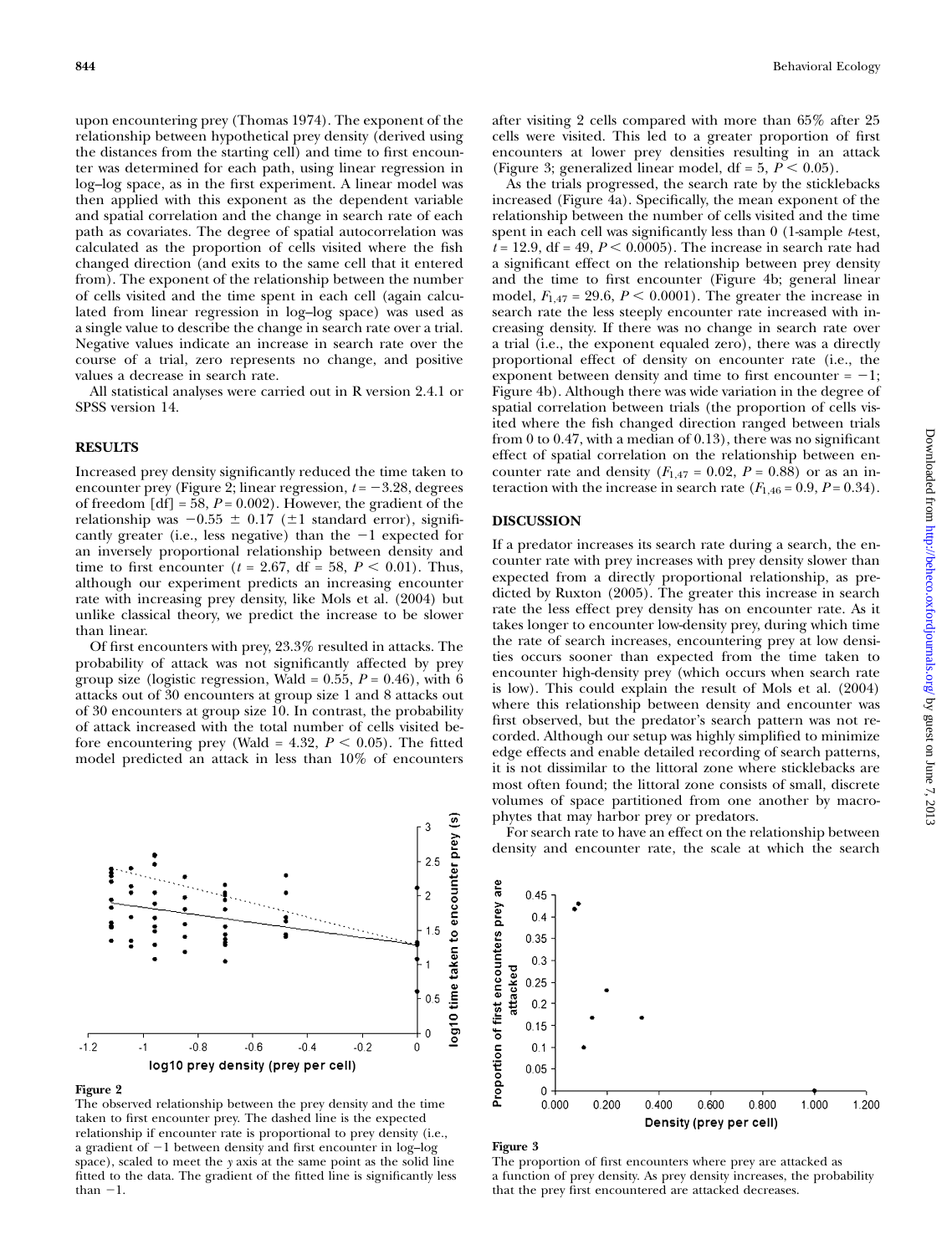upon encountering prey (Thomas 1974). The exponent of the relationship between hypothetical prey density (derived using the distances from the starting cell) and time to first encounter was determined for each path, using linear regression in log–log space, as in the first experiment. A linear model was then applied with this exponent as the dependent variable and spatial correlation and the change in search rate of each path as covariates. The degree of spatial autocorrelation was calculated as the proportion of cells visited where the fish changed direction (and exits to the same cell that it entered from). The exponent of the relationship between the number of cells visited and the time spent in each cell (again calculated from linear regression in log–log space) was used as a single value to describe the change in search rate over a trial. Negative values indicate an increase in search rate over the course of a trial, zero represents no change, and positive values a decrease in search rate.

All statistical analyses were carried out in R version 2.4.1 or SPSS version 14.

#### RESULTS

Increased prey density significantly reduced the time taken to encounter prey (Figure 2; linear regression,  $t = -3.28$ , degrees of freedom  $[df] = 58$ ,  $P = 0.002$ ). However, the gradient of the relationship was  $-0.55 \pm 0.17$  ( $\pm 1$  standard error), significantly greater (i.e., less negative) than the  $-1$  expected for an inversely proportional relationship between density and time to first encounter ( $t = 2.67$ , df = 58,  $P < 0.01$ ). Thus, although our experiment predicts an increasing encounter rate with increasing prey density, like Mols et al. (2004) but unlike classical theory, we predict the increase to be slower than linear.

Of first encounters with prey, 23.3% resulted in attacks. The probability of attack was not significantly affected by prey group size (logistic regression, Wald =  $0.55$ ,  $P = 0.46$ ), with 6 attacks out of 30 encounters at group size 1 and 8 attacks out of 30 encounters at group size 10. In contrast, the probability of attack increased with the total number of cells visited before encountering prey (Wald = 4.32,  $P < 0.05$ ). The fitted model predicted an attack in less than 10% of encounters

Figure 2

 $-1.2$ 

 $-1$ 

 $-0.8$ 

The observed relationship between the prey density and the time taken to first encounter prey. The dashed line is the expected relationship if encounter rate is proportional to prey density (i.e., a gradient of  $-1$  between density and first encounter in log-log space), scaled to meet the y axis at the same point as the solid line fitted to the data. The gradient of the fitted line is significantly less than  $-1$ .

 $-0.6$ 

log10 prey density (prey per cell)

 $-0.4$ 

 $-0.2$ 

after visiting 2 cells compared with more than 65% after 25 cells were visited. This led to a greater proportion of first encounters at lower prey densities resulting in an attack (Figure 3; generalized linear model, df =  $5, P < 0.05$ ).

As the trials progressed, the search rate by the sticklebacks increased (Figure 4a). Specifically, the mean exponent of the relationship between the number of cells visited and the time spent in each cell was significantly less than  $0$  (1-sample *t*-test,  $t = 12.9$ , df = 49,  $P < 0.0005$ ). The increase in search rate had a significant effect on the relationship between prey density and the time to first encounter (Figure 4b; general linear model,  $F_{1,47} = 29.6$ ,  $P \le 0.0001$ ). The greater the increase in search rate the less steeply encounter rate increased with increasing density. If there was no change in search rate over a trial (i.e., the exponent equaled zero), there was a directly proportional effect of density on encounter rate (i.e., the exponent between density and time to first encounter  $= -1$ ; Figure 4b). Although there was wide variation in the degree of spatial correlation between trials (the proportion of cells visited where the fish changed direction ranged between trials from 0 to 0.47, with a median of 0.13), there was no significant effect of spatial correlation on the relationship between encounter rate and density  $(F_{1,47} = 0.02, P = 0.88)$  or as an interaction with the increase in search rate  $(F<sub>1,46</sub> = 0.9, P = 0.34)$ .

#### DISCUSSION

If a predator increases its search rate during a search, the encounter rate with prey increases with prey density slower than expected from a directly proportional relationship, as predicted by Ruxton (2005). The greater this increase in search rate the less effect prey density has on encounter rate. As it takes longer to encounter low-density prey, during which time the rate of search increases, encountering prey at low densities occurs sooner than expected from the time taken to encounter high-density prey (which occurs when search rate is low). This could explain the result of Mols et al. (2004) where this relationship between density and encounter was first observed, but the predator's search pattern was not recorded. Although our setup was highly simplified to minimize edge effects and enable detailed recording of search patterns, it is not dissimilar to the littoral zone where sticklebacks are most often found; the littoral zone consists of small, discrete volumes of space partitioned from one another by macrophytes that may harbor prey or predators.

For search rate to have an effect on the relationship between density and encounter rate, the scale at which the search



Figure 3

 $0.45$  $0.4$ 0.35  $0.3$ 

 $\overline{\mathbf{e}}$  $\mathbf{\hat{z}}$ 

 $2.5$ 

 $\overline{2}$ 

 $0<sub>5</sub>$ 

0

 $\Omega$ 

log10 time taken to encounter prey

The proportion of first encounters where prey are attacked as a function of prey density. As prey density increases, the probability that the prey first encountered are attacked decreases.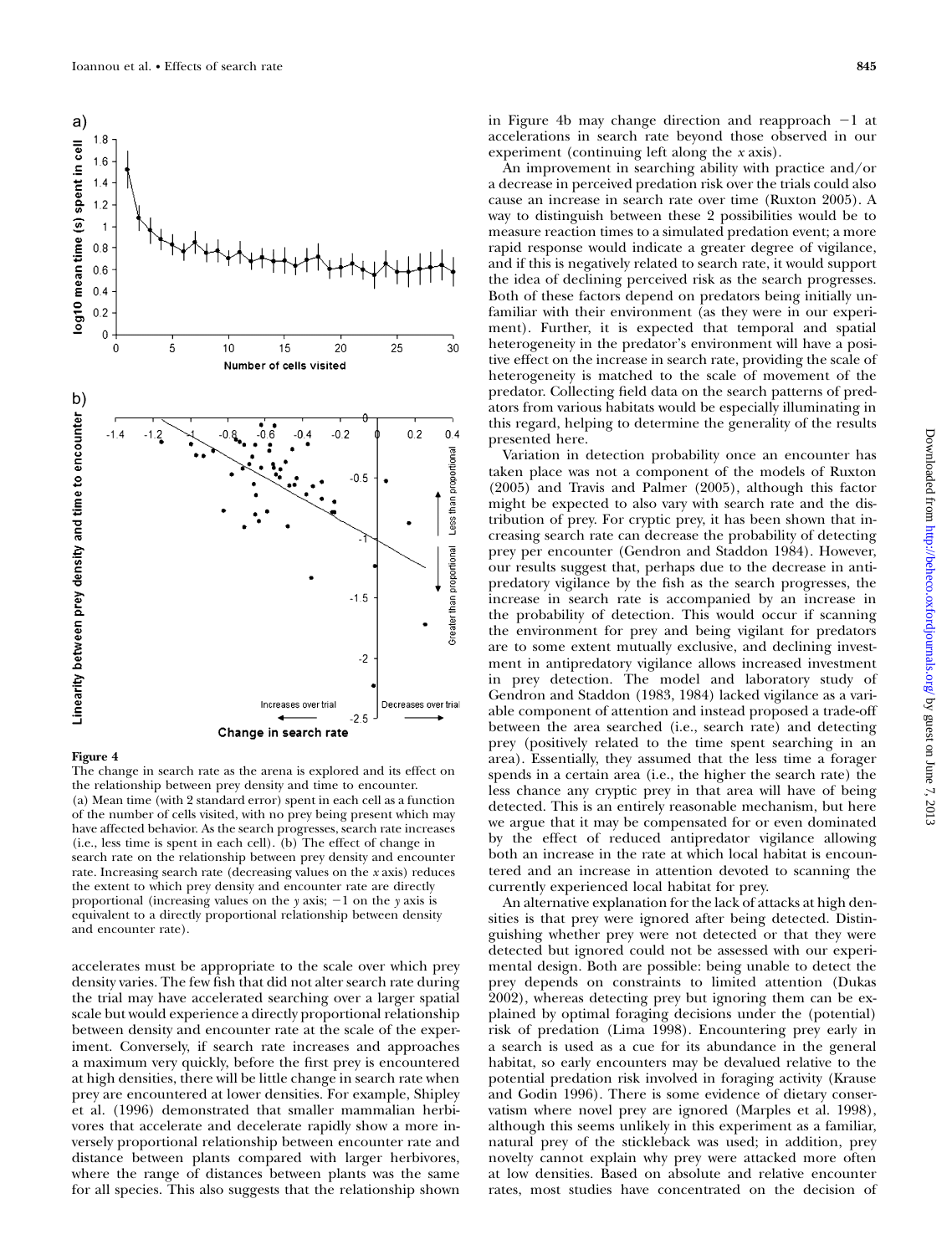

#### Figure 4

The change in search rate as the arena is explored and its effect on the relationship between prey density and time to encounter. (a) Mean time (with 2 standard error) spent in each cell as a function of the number of cells visited, with no prey being present which may have affected behavior. As the search progresses, search rate increases (i.e., less time is spent in each cell). (b) The effect of change in search rate on the relationship between prey density and encounter rate. Increasing search rate (decreasing values on the x axis) reduces the extent to which prey density and encounter rate are directly proportional (increasing values on the  $y$  axis;  $-1$  on the  $y$  axis is equivalent to a directly proportional relationship between density and encounter rate).

accelerates must be appropriate to the scale over which prey density varies. The few fish that did not alter search rate during the trial may have accelerated searching over a larger spatial scale but would experience a directly proportional relationship between density and encounter rate at the scale of the experiment. Conversely, if search rate increases and approaches a maximum very quickly, before the first prey is encountered at high densities, there will be little change in search rate when prey are encountered at lower densities. For example, Shipley et al. (1996) demonstrated that smaller mammalian herbivores that accelerate and decelerate rapidly show a more inversely proportional relationship between encounter rate and distance between plants compared with larger herbivores, where the range of distances between plants was the same for all species. This also suggests that the relationship shown

in Figure 4b may change direction and reapproach  $-1$  at accelerations in search rate beyond those observed in our experiment (continuing left along the x axis).

An improvement in searching ability with practice and/or a decrease in perceived predation risk over the trials could also cause an increase in search rate over time (Ruxton 2005). A way to distinguish between these 2 possibilities would be to measure reaction times to a simulated predation event; a more rapid response would indicate a greater degree of vigilance, and if this is negatively related to search rate, it would support the idea of declining perceived risk as the search progresses. Both of these factors depend on predators being initially unfamiliar with their environment (as they were in our experiment). Further, it is expected that temporal and spatial heterogeneity in the predator's environment will have a positive effect on the increase in search rate, providing the scale of heterogeneity is matched to the scale of movement of the predator. Collecting field data on the search patterns of predators from various habitats would be especially illuminating in this regard, helping to determine the generality of the results presented here.

Variation in detection probability once an encounter has taken place was not a component of the models of Ruxton (2005) and Travis and Palmer (2005), although this factor might be expected to also vary with search rate and the distribution of prey. For cryptic prey, it has been shown that increasing search rate can decrease the probability of detecting prey per encounter (Gendron and Staddon 1984). However, our results suggest that, perhaps due to the decrease in antipredatory vigilance by the fish as the search progresses, the increase in search rate is accompanied by an increase in the probability of detection. This would occur if scanning the environment for prey and being vigilant for predators are to some extent mutually exclusive, and declining investment in antipredatory vigilance allows increased investment in prey detection. The model and laboratory study of Gendron and Staddon (1983, 1984) lacked vigilance as a variable component of attention and instead proposed a trade-off between the area searched (i.e., search rate) and detecting prey (positively related to the time spent searching in an area). Essentially, they assumed that the less time a forager spends in a certain area (i.e., the higher the search rate) the less chance any cryptic prey in that area will have of being detected. This is an entirely reasonable mechanism, but here we argue that it may be compensated for or even dominated by the effect of reduced antipredator vigilance allowing both an increase in the rate at which local habitat is encountered and an increase in attention devoted to scanning the currently experienced local habitat for prey.

An alternative explanation for the lack of attacks at high densities is that prey were ignored after being detected. Distinguishing whether prey were not detected or that they were detected but ignored could not be assessed with our experimental design. Both are possible: being unable to detect the prey depends on constraints to limited attention (Dukas 2002), whereas detecting prey but ignoring them can be explained by optimal foraging decisions under the (potential) risk of predation (Lima 1998). Encountering prey early in a search is used as a cue for its abundance in the general habitat, so early encounters may be devalued relative to the potential predation risk involved in foraging activity (Krause and Godin 1996). There is some evidence of dietary conservatism where novel prey are ignored (Marples et al. 1998), although this seems unlikely in this experiment as a familiar, natural prey of the stickleback was used; in addition, prey novelty cannot explain why prey were attacked more often at low densities. Based on absolute and relative encounter rates, most studies have concentrated on the decision of